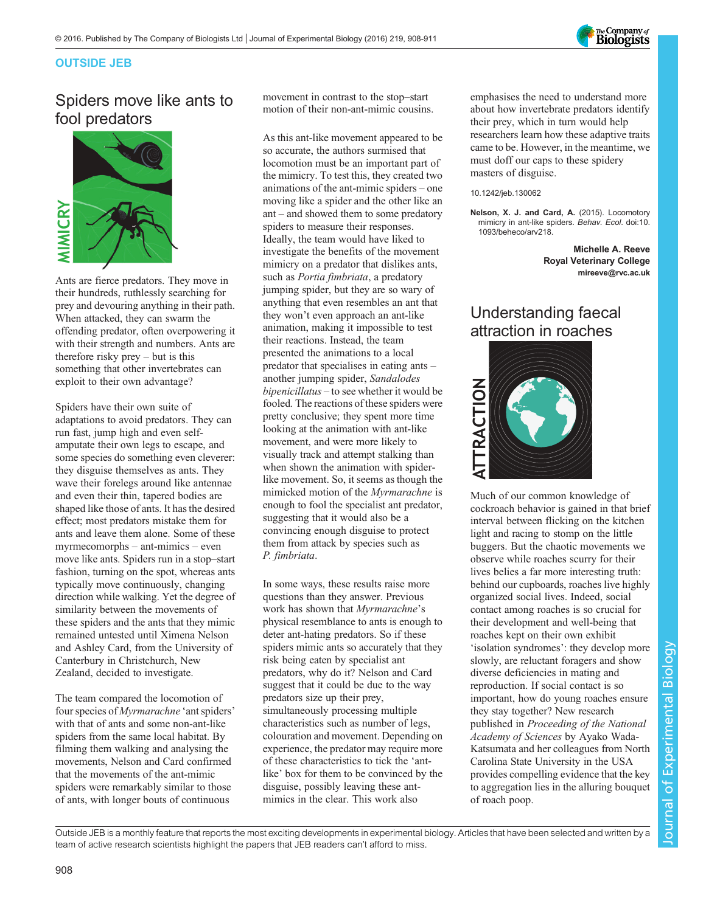

#### OUTSIDE JEB

### Spiders move like ants to fool predators



Ants are fierce predators. They move in their hundreds, ruthlessly searching for prey and devouring anything in their path. When attacked, they can swarm the offending predator, often overpowering it with their strength and numbers. Ants are therefore risky prey – but is this something that other invertebrates can exploit to their own advantage?

Spiders have their own suite of adaptations to avoid predators. They can run fast, jump high and even selfamputate their own legs to escape, and some species do something even cleverer: they disguise themselves as ants. They wave their forelegs around like antennae and even their thin, tapered bodies are shaped like those of ants. It has the desired effect; most predators mistake them for ants and leave them alone. Some of these myrmecomorphs – ant-mimics – even move like ants. Spiders run in a stop–start fashion, turning on the spot, whereas ants typically move continuously, changing direction while walking. Yet the degree of similarity between the movements of these spiders and the ants that they mimic remained untested until Ximena Nelson and Ashley Card, from the University of Canterbury in Christchurch, New Zealand, decided to investigate.

The team compared the locomotion of four species of Myrmarachne 'ant spiders' with that of ants and some non-ant-like spiders from the same local habitat. By filming them walking and analysing the movements, Nelson and Card confirmed that the movements of the ant-mimic spiders were remarkably similar to those of ants, with longer bouts of continuous

movement in contrast to the stop–start motion of their non-ant-mimic cousins.

As this ant-like movement appeared to be so accurate, the authors surmised that locomotion must be an important part of the mimicry. To test this, they created two animations of the ant-mimic spiders – one moving like a spider and the other like an ant – and showed them to some predatory spiders to measure their responses. Ideally, the team would have liked to investigate the benefits of the movement mimicry on a predator that dislikes ants, such as Portia fimbriata, a predatory jumping spider, but they are so wary of anything that even resembles an ant that they won't even approach an ant-like animation, making it impossible to test their reactions. Instead, the team presented the animations to a local predator that specialises in eating ants – another jumping spider, Sandalodes bipenicillatus – to see whether it would be fooled. The reactions of these spiders were pretty conclusive; they spent more time looking at the animation with ant-like movement, and were more likely to visually track and attempt stalking than when shown the animation with spiderlike movement. So, it seems as though the mimicked motion of the Myrmarachne is enough to fool the specialist ant predator, suggesting that it would also be a convincing enough disguise to protect them from attack by species such as P. fimbriata.

In some ways, these results raise more questions than they answer. Previous work has shown that Myrmarachne's physical resemblance to ants is enough to deter ant-hating predators. So if these spiders mimic ants so accurately that they risk being eaten by specialist ant predators, why do it? Nelson and Card suggest that it could be due to the way predators size up their prey, simultaneously processing multiple characteristics such as number of legs, colouration and movement. Depending on experience, the predator may require more of these characteristics to tick the 'antlike' box for them to be convinced by the disguise, possibly leaving these antmimics in the clear. This work also

emphasises the need to understand more about how invertebrate predators identify their prey, which in turn would help researchers learn how these adaptive traits came to be. However, in the meantime, we must doff our caps to these spidery masters of disguise.

#### 10.1242/jeb.130062

[Nelson, X. J. and Card, A.](http://dx.doi.org/10.1093/beheco/arv218) (2015). Locomotory [mimicry in ant-like spiders.](http://dx.doi.org/10.1093/beheco/arv218) Behav. Ecol. doi:10. [1093/beheco/arv218.](http://dx.doi.org/10.1093/beheco/arv218)

> Michelle A. Reeve Royal Veterinary College mireeve@rvc.ac.uk

### Understanding faecal attraction in roaches



Much of our common knowledge of cockroach behavior is gained in that brief interval between flicking on the kitchen light and racing to stomp on the little buggers. But the chaotic movements we observe while roaches scurry for their lives belies a far more interesting truth: behind our cupboards, roaches live highly organized social lives. Indeed, social contact among roaches is so crucial for their development and well-being that roaches kept on their own exhibit 'isolation syndromes': they develop more slowly, are reluctant foragers and show diverse deficiencies in mating and reproduction. If social contact is so important, how do young roaches ensure they stay together? New research published in Proceeding of the National Academy of Sciences by Ayako Wada-Katsumata and her colleagues from North Carolina State University in the USA provides compelling evidence that the key to aggregation lies in the alluring bouquet of roach poop.

Outside JEB is a monthly feature that reports the most exciting developments in experimental biology. Articles that have been selected and written by a team of active research scientists highlight the papers that JEB readers can't afford to miss.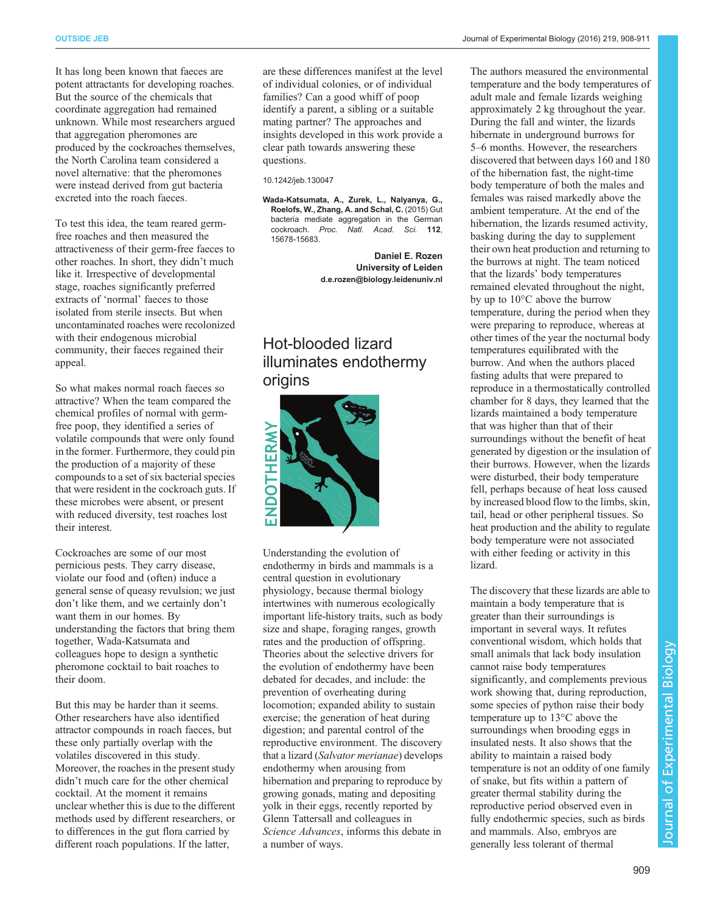It has long been known that faeces are potent attractants for developing roaches. But the source of the chemicals that coordinate aggregation had remained unknown. While most researchers argued that aggregation pheromones are produced by the cockroaches themselves, the North Carolina team considered a novel alternative: that the pheromones were instead derived from gut bacteria excreted into the roach faeces.

To test this idea, the team reared germfree roaches and then measured the attractiveness of their germ-free faeces to other roaches. In short, they didn't much like it. Irrespective of developmental stage, roaches significantly preferred extracts of 'normal' faeces to those isolated from sterile insects. But when uncontaminated roaches were recolonized with their endogenous microbial community, their faeces regained their appeal.

So what makes normal roach faeces so attractive? When the team compared the chemical profiles of normal with germfree poop, they identified a series of volatile compounds that were only found in the former. Furthermore, they could pin the production of a majority of these compounds to a set of six bacterial species that were resident in the cockroach guts. If these microbes were absent, or present with reduced diversity, test roaches lost their interest.

Cockroaches are some of our most pernicious pests. They carry disease, violate our food and (often) induce a general sense of queasy revulsion; we just don't like them, and we certainly don't want them in our homes. By understanding the factors that bring them together, Wada-Katsumata and colleagues hope to design a synthetic pheromone cocktail to bait roaches to their doom.

But this may be harder than it seems. Other researchers have also identified attractor compounds in roach faeces, but these only partially overlap with the volatiles discovered in this study. Moreover, the roaches in the present study didn't much care for the other chemical cocktail. At the moment it remains unclear whether this is due to the different methods used by different researchers, or to differences in the gut flora carried by different roach populations. If the latter,

are these differences manifest at the level of individual colonies, or of individual families? Can a good whiff of poop identify a parent, a sibling or a suitable mating partner? The approaches and insights developed in this work provide a clear path towards answering these questions.

10.1242/jeb.130047

[Wada-Katsumata, A., Zurek, L., Nalyanya, G.,](http://dx.doi.org/10.1073/pnas.1504031112) [Roelofs, W., Zhang, A. and Schal, C.](http://dx.doi.org/10.1073/pnas.1504031112) (2015) Gut [bacteria mediate aggregation in the German](http://dx.doi.org/10.1073/pnas.1504031112) cockroach. [Proc. Natl. Acad. Sci.](http://dx.doi.org/10.1073/pnas.1504031112) 112, [15678-15683.](http://dx.doi.org/10.1073/pnas.1504031112)

> Daniel E. Rozen University of Leiden d.e.rozen@biology.leidenuniv.nl

## Hot-blooded lizard illuminates endothermy origins



Understanding the evolution of endothermy in birds and mammals is a central question in evolutionary physiology, because thermal biology intertwines with numerous ecologically important life-history traits, such as body size and shape, foraging ranges, growth rates and the production of offspring. Theories about the selective drivers for the evolution of endothermy have been debated for decades, and include: the prevention of overheating during locomotion; expanded ability to sustain exercise; the generation of heat during digestion; and parental control of the reproductive environment. The discovery that a lizard (Salvator merianae) develops endothermy when arousing from hibernation and preparing to reproduce by growing gonads, mating and depositing yolk in their eggs, recently reported by Glenn Tattersall and colleagues in Science Advances, informs this debate in a number of ways.

The authors measured the environmental temperature and the body temperatures of adult male and female lizards weighing approximately 2 kg throughout the year. During the fall and winter, the lizards hibernate in underground burrows for 5–6 months. However, the researchers discovered that between days 160 and 180 of the hibernation fast, the night-time body temperature of both the males and females was raised markedly above the ambient temperature. At the end of the hibernation, the lizards resumed activity, basking during the day to supplement their own heat production and returning to the burrows at night. The team noticed that the lizards' body temperatures remained elevated throughout the night, by up to 10°C above the burrow temperature, during the period when they were preparing to reproduce, whereas at other times of the year the nocturnal body temperatures equilibrated with the burrow. And when the authors placed fasting adults that were prepared to reproduce in a thermostatically controlled chamber for 8 days, they learned that the lizards maintained a body temperature that was higher than that of their surroundings without the benefit of heat generated by digestion or the insulation of their burrows. However, when the lizards were disturbed, their body temperature fell, perhaps because of heat loss caused by increased blood flow to the limbs, skin, tail, head or other peripheral tissues. So heat production and the ability to regulate body temperature were not associated with either feeding or activity in this lizard.

The discovery that these lizards are able to maintain a body temperature that is greater than their surroundings is important in several ways. It refutes conventional wisdom, which holds that small animals that lack body insulation cannot raise body temperatures significantly, and complements previous work showing that, during reproduction, some species of python raise their body temperature up to 13°C above the surroundings when brooding eggs in insulated nests. It also shows that the ability to maintain a raised body temperature is not an oddity of one family of snake, but fits within a pattern of greater thermal stability during the reproductive period observed even in fully endothermic species, such as birds and mammals. Also, embryos are generally less tolerant of thermal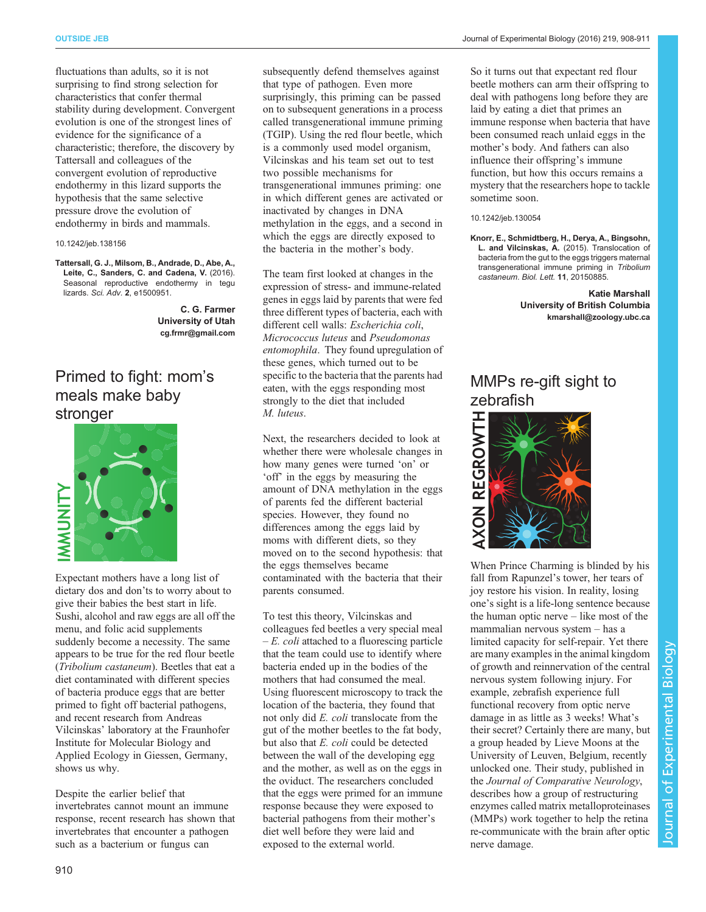fluctuations than adults, so it is not surprising to find strong selection for characteristics that confer thermal stability during development. Convergent evolution is one of the strongest lines of evidence for the significance of a characteristic; therefore, the discovery by Tattersall and colleagues of the convergent evolution of reproductive endothermy in this lizard supports the hypothesis that the same selective pressure drove the evolution of endothermy in birds and mammals.

10.1242/jeb.138156

[Tattersall, G. J., Milsom, B., Andrade, D., Abe, A.,](http://dx.doi.org/10.1126/sciadv.1500951) [Leite, C., Sanders, C. and Cadena, V.](http://dx.doi.org/10.1126/sciadv.1500951) (2016). [Seasonal reproductive endothermy in tegu](http://dx.doi.org/10.1126/sciadv.1500951) lizards. Sci. Adv. 2[, e1500951.](http://dx.doi.org/10.1126/sciadv.1500951)

> C. G. Farmer University of Utah cg.frmr@gmail.com

### Primed to fight: mom's meals make baby stronger



Expectant mothers have a long list of dietary dos and don'ts to worry about to give their babies the best start in life. Sushi, alcohol and raw eggs are all off the menu, and folic acid supplements suddenly become a necessity. The same appears to be true for the red flour beetle (Tribolium castaneum). Beetles that eat a diet contaminated with different species of bacteria produce eggs that are better primed to fight off bacterial pathogens, and recent research from Andreas Vilcinskas' laboratory at the Fraunhofer Institute for Molecular Biology and Applied Ecology in Giessen, Germany, shows us why.

Despite the earlier belief that invertebrates cannot mount an immune response, recent research has shown that invertebrates that encounter a pathogen such as a bacterium or fungus can

subsequently defend themselves against that type of pathogen. Even more surprisingly, this priming can be passed on to subsequent generations in a process called transgenerational immune priming (TGIP). Using the red flour beetle, which is a commonly used model organism, Vilcinskas and his team set out to test two possible mechanisms for transgenerational immunes priming: one in which different genes are activated or inactivated by changes in DNA methylation in the eggs, and a second in which the eggs are directly exposed to the bacteria in the mother's body.

The team first looked at changes in the expression of stress- and immune-related genes in eggs laid by parents that were fed three different types of bacteria, each with different cell walls: Escherichia coli, Micrococcus luteus and Pseudomonas entomophila. They found upregulation of these genes, which turned out to be specific to the bacteria that the parents had eaten, with the eggs responding most strongly to the diet that included M. luteus.

Next, the researchers decided to look at whether there were wholesale changes in how many genes were turned 'on' or 'off' in the eggs by measuring the amount of DNA methylation in the eggs of parents fed the different bacterial species. However, they found no differences among the eggs laid by moms with different diets, so they moved on to the second hypothesis: that the eggs themselves became contaminated with the bacteria that their parents consumed.

To test this theory, Vilcinskas and colleagues fed beetles a very special meal – E. coli attached to a fluorescing particle that the team could use to identify where bacteria ended up in the bodies of the mothers that had consumed the meal. Using fluorescent microscopy to track the location of the bacteria, they found that not only did E. coli translocate from the gut of the mother beetles to the fat body, but also that E. coli could be detected between the wall of the developing egg and the mother, as well as on the eggs in the oviduct. The researchers concluded that the eggs were primed for an immune response because they were exposed to bacterial pathogens from their mother's diet well before they were laid and exposed to the external world.

So it turns out that expectant red flour beetle mothers can arm their offspring to deal with pathogens long before they are laid by eating a diet that primes an immune response when bacteria that have been consumed reach unlaid eggs in the mother's body. And fathers can also influence their offspring's immune function, but how this occurs remains a mystery that the researchers hope to tackle sometime soon.

#### 10.1242/jeb.130054

[Knorr, E., Schmidtberg, H., Derya, A., Bingsohn,](http://dx.doi.org/10.1098/rsbl.2015.0885) L. and Vilcinskas, A. [\(2015\). Translocation of](http://dx.doi.org/10.1098/rsbl.2015.0885) [bacteria from the gut to the eggs triggers maternal](http://dx.doi.org/10.1098/rsbl.2015.0885) [transgenerational immune priming in](http://dx.doi.org/10.1098/rsbl.2015.0885) Tribolium castaneum. Biol. Lett. 11[, 20150885.](http://dx.doi.org/10.1098/rsbl.2015.0885)

> Katie Marshall University of British Columbia kmarshall@zoology.ubc.ca

# MMPs re-gift sight to zebrafish



When Prince Charming is blinded by his fall from Rapunzel's tower, her tears of joy restore his vision. In reality, losing one's sight is a life-long sentence because the human optic nerve – like most of the mammalian nervous system – has a limited capacity for self-repair. Yet there are many examples in the animal kingdom of growth and reinnervation of the central nervous system following injury. For example, zebrafish experience full functional recovery from optic nerve damage in as little as 3 weeks! What's their secret? Certainly there are many, but a group headed by Lieve Moons at the University of Leuven, Belgium, recently unlocked one. Their study, published in the Journal of Comparative Neurology, describes how a group of restructuring enzymes called matrix metalloproteinases (MMPs) work together to help the retina re-communicate with the brain after optic nerve damage.